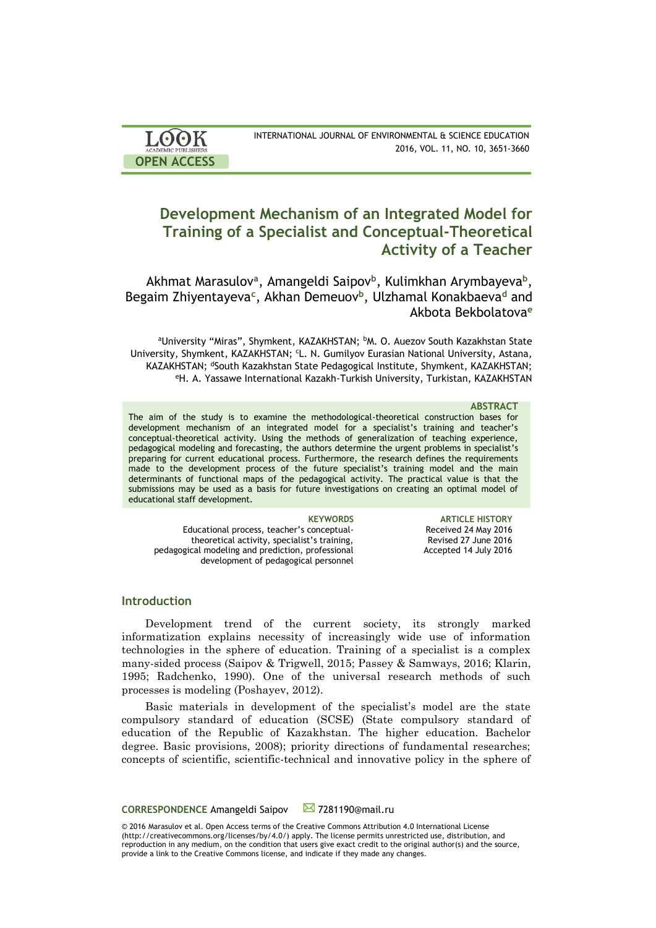| <b>LOOK</b>                | INTERNATIONAL JOURNAL OF ENVIRONMENTAL & SCIENCE EDUCATION |
|----------------------------|------------------------------------------------------------|
| <b>ACADEMIC PUBLISHERS</b> | 2016, VOL. 11, NO. 10, 3651-3660                           |
| <b>OPEN ACCESS</b>         |                                                            |

# **Development Mechanism of an Integrated Model for Training of a Specialist and Conceptual-Theoretical Activity of a Teacher**

Akhmat Marasulov<sup>a</sup>, Amangeldi Saipov<sup>b</sup>, Kulimkhan Arymbayeva<sup>b</sup>, Begaim Zhiyentayeva**<sup>c</sup>** , Akhan Demeuov**<sup>b</sup>** , Ulzhamal Konakbaeva**<sup>d</sup>** and Akbota Bekbolatova**<sup>e</sup>**

aUniversity "Miras", Shymkent, KAZAKHSTAN; bM. O. Auezov South Kazakhstan State University, Shymkent, KAZAKHSTAN; <sup>c</sup>L. N. Gumilyov Eurasian National University, Astana, KAZAKHSTAN; <sup>d</sup>South Kazakhstan State Pedagogical Institute, Shymkent, KAZAKHSTAN; <sup>e</sup>H. A. Yassawe International Kazakh-Turkish University, Turkistan, KAZAKHSTAN

#### **ABSTRACT**

The aim of the study is to examine the methodological-theoretical construction bases for development mechanism of an integrated model for a specialist's training and teacher's conceptual-theoretical activity. Using the methods of generalization of teaching experience, pedagogical modeling and forecasting, the authors determine the urgent problems in specialist's preparing for current educational process. Furthermore, the research defines the requirements made to the development process of the future specialist's training model and the main determinants of functional maps of the pedagogical activity. The practical value is that the submissions may be used as a basis for future investigations on creating an optimal model of educational staff development.

Educational process, teacher's conceptualtheoretical activity, specialist's training, pedagogical modeling and prediction, professional development of pedagogical personnel

**KEYWORDS ARTICLE HISTORY** Received 24 May 2016 Revised 27 June 2016 Accepted 14 July 2016

# **Introduction**

Development trend of the current society, its strongly marked informatization explains necessity of increasingly wide use of information technologies in the sphere of education. Training of a specialist is a complex many-sided process (Saipov & Trigwell, 2015; Passey & Samways, 2016; Klarin, 1995; Radchenko, 1990). One of the universal research methods of such processes is modeling (Poshayev, 2012).

Basic materials in development of the specialist's model are the state compulsory standard of education (SCSE) (State compulsory standard of education of the Republic of Kazakhstan. The higher education. Bachelor degree. Basic provisions, 2008); priority directions of fundamental researches; concepts of scientific, scientific-technical and innovative policy in the sphere of

**CORRESPONDENCE** Amangeldi Saipov **24** 7281190@mail.ru

© 2016 Marasulov et al. Open Access terms of the Creative Commons Attribution 4.0 International License (http://creativecommons.org/licenses/by/4.0/) apply. The license permits unrestricted use, distribution, and reproduction in any medium, on the condition that users give exact credit to the original author(s) and the source, provide a link to the Creative Commons license, and indicate if they made any changes.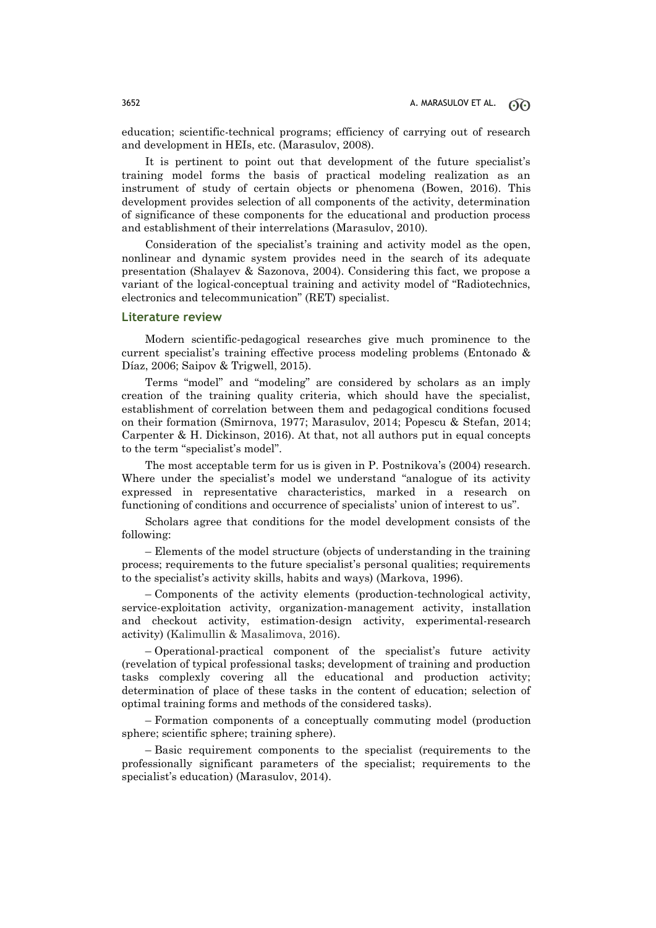education; scientific-technical programs; efficiency of carrying out of research and development in HEIs, etc. (Marasulov, 2008).

It is pertinent to point out that development of the future specialist's training model forms the basis of practical modeling realization as an instrument of study of certain objects or phenomena (Bowen, 2016). This development provides selection of all components of the activity, determination of significance of these components for the educational and production process and establishment of their interrelations (Marasulov, 2010).

Consideration of the specialist's training and activity model as the open, nonlinear and dynamic system provides need in the search of its adequate presentation (Shalayev & Sazonova, 2004). Considering this fact, we propose a variant of the logical-conceptual training and activity model of "Radiotechnics, electronics and telecommunication" (RET) specialist.

#### **Literature review**

Modern scientific-pedagogical researches give much prominence to the current specialist's training effective process modeling problems (Entonado & Díaz, 2006; Saipov & Trigwell, 2015).

Terms "model" and "modeling" are considered by scholars as an imply creation of the training quality criteria, which should have the specialist, establishment of correlation between them and pedagogical conditions focused on their formation (Smirnova, 1977; Marasulov, 2014; Popescu & Stefan, 2014; Carpenter & H. Dickinson, 2016). At that, not all authors put in equal concepts to the term "specialist's model".

The most acceptable term for us is given in P. Postnikova's (2004) research. Where under the specialist's model we understand "analogue of its activity expressed in representative characteristics, marked in a research on functioning of conditions and occurrence of specialists' union of interest to us".

Scholars agree that conditions for the model development consists of the following:

– Elements of the model structure (objects of understanding in the training process; requirements to the future specialist's personal qualities; requirements to the specialist's activity skills, habits and ways) (Markova, 1996).

– Components of the activity elements (production-technological activity, service-exploitation activity, organization-management activity, installation and checkout activity, estimation-design activity, experimental-research activity) (Kalimullin & Masalimova, 2016).

– Operational-practical component of the specialist's future activity (revelation of typical professional tasks; development of training and production tasks complexly covering all the educational and production activity; determination of place of these tasks in the content of education; selection of optimal training forms and methods of the considered tasks).

– Formation components of a conceptually commuting model (production sphere; scientific sphere; training sphere).

– Basic requirement components to the specialist (requirements to the professionally significant parameters of the specialist; requirements to the specialist's education) (Marasulov, 2014).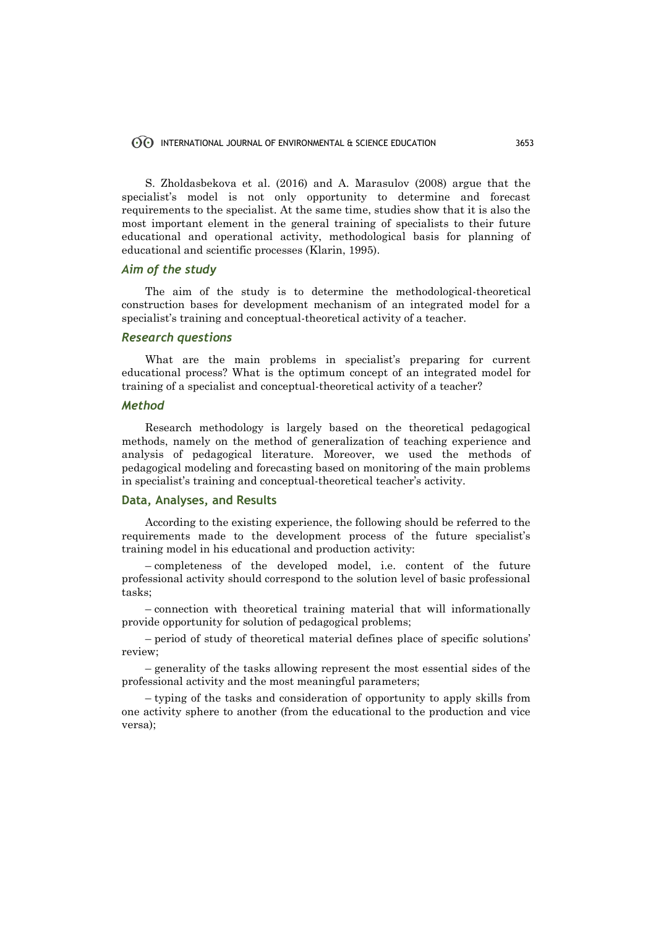## INTERNATIONAL JOURNAL OF ENVIRONMENTAL & SCIENCE EDUCATION 3653

S. Zholdasbekova et al. (2016) and A. Marasulov (2008) argue that the specialist's model is not only opportunity to determine and forecast requirements to the specialist. At the same time, studies show that it is also the most important element in the general training of specialists to their future educational and operational activity, methodological basis for planning of educational and scientific processes (Klarin, 1995).

# *Aim of the study*

The aim of the study is to determine the methodological-theoretical construction bases for development mechanism of an integrated model for a specialist's training and conceptual-theoretical activity of a teacher.

## *Research questions*

What are the main problems in specialist's preparing for current educational process? What is the optimum concept of an integrated model for training of a specialist and conceptual-theoretical activity of a teacher?

# *Method*

Research methodology is largely based on the theoretical pedagogical methods, namely on the method of generalization of teaching experience and analysis of pedagogical literature. Moreover, we used the methods of pedagogical modeling and forecasting based on monitoring of the main problems in specialist's training and conceptual-theoretical teacher's activity.

# **Data, Analyses, and Results**

According to the existing experience, the following should be referred to the requirements made to the development process of the future specialist's training model in his educational and production activity:

– completeness of the developed model, i.e. content of the future professional activity should correspond to the solution level of basic professional tasks;

– connection with theoretical training material that will informationally provide opportunity for solution of pedagogical problems;

– period of study of theoretical material defines place of specific solutions' review;

– generality of the tasks allowing represent the most essential sides of the professional activity and the most meaningful parameters;

– typing of the tasks and consideration of opportunity to apply skills from one activity sphere to another (from the educational to the production and vice versa);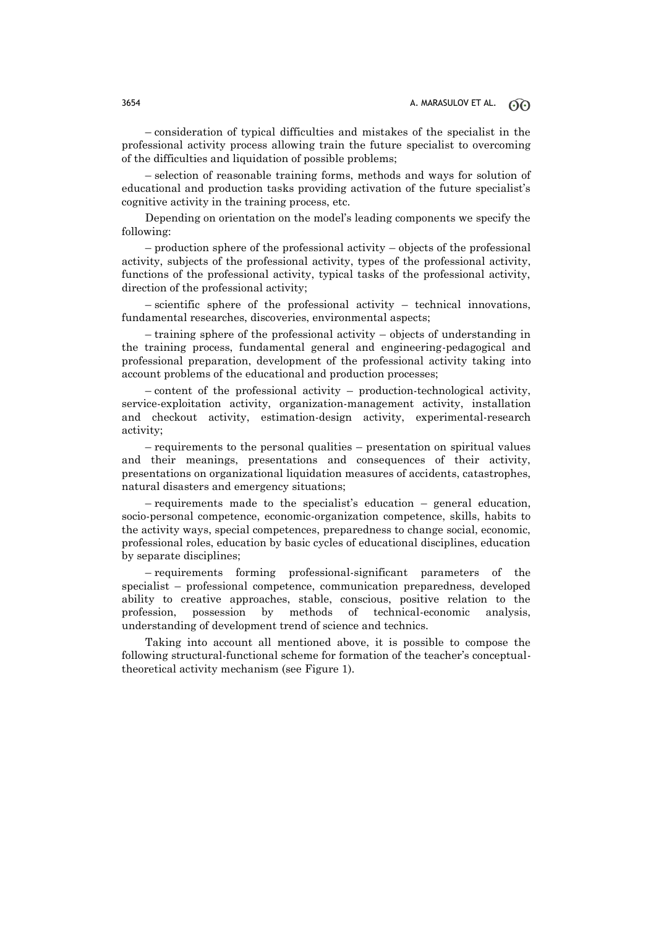– consideration of typical difficulties and mistakes of the specialist in the professional activity process allowing train the future specialist to overcoming of the difficulties and liquidation of possible problems;

– selection of reasonable training forms, methods and ways for solution of educational and production tasks providing activation of the future specialist's cognitive activity in the training process, etc.

Depending on orientation on the model's leading components we specify the following:

– production sphere of the professional activity – objects of the professional activity, subjects of the professional activity, types of the professional activity, functions of the professional activity, typical tasks of the professional activity, direction of the professional activity;

– scientific sphere of the professional activity – technical innovations, fundamental researches, discoveries, environmental aspects;

– training sphere of the professional activity – objects of understanding in the training process, fundamental general and engineering-pedagogical and professional preparation, development of the professional activity taking into account problems of the educational and production processes;

– content of the professional activity – production-technological activity, service-exploitation activity, organization-management activity, installation and checkout activity, estimation-design activity, experimental-research activity;

– requirements to the personal qualities – presentation on spiritual values and their meanings, presentations and consequences of their activity, presentations on organizational liquidation measures of accidents, catastrophes, natural disasters and emergency situations;

 $-$  requirements made to the specialist's education  $-$  general education, socio-personal competence, economic-organization competence, skills, habits to the activity ways, special competences, preparedness to change social, economic, professional roles, education by basic cycles of educational disciplines, education by separate disciplines;

– requirements forming professional-significant parameters of the specialist – professional competence, communication preparedness, developed ability to creative approaches, stable, conscious, positive relation to the profession, possession by methods of technical-economic analysis, understanding of development trend of science and technics.

Taking into account all mentioned above, it is possible to compose the following structural-functional scheme for formation of the teacher's conceptualtheoretical activity mechanism (see Figure 1).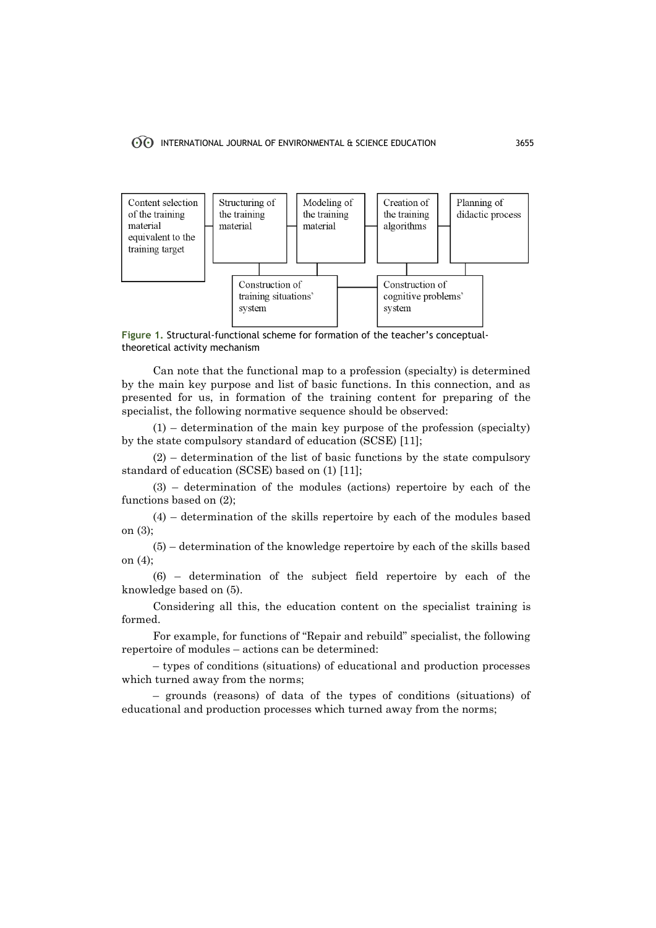

**Figure 1.** Structural-functional scheme for formation of the teacher's conceptualtheoretical activity mechanism

Can note that the functional map to a profession (specialty) is determined by the main key purpose and list of basic functions. In this connection, and as presented for us, in formation of the training content for preparing of the specialist, the following normative sequence should be observed:

(1) – determination of the main key purpose of the profession (specialty) by the state compulsory standard of education (SCSE) [11];

(2) – determination of the list of basic functions by the state compulsory standard of education (SCSE) based on (1) [11];

(3) – determination of the modules (actions) repertoire by each of the functions based on (2);

(4) – determination of the skills repertoire by each of the modules based on (3);

(5) – determination of the knowledge repertoire by each of the skills based on (4);

(6) – determination of the subject field repertoire by each of the knowledge based on (5).

Considering all this, the education content on the specialist training is formed.

For example, for functions of "Repair and rebuild" specialist, the following repertoire of modules – actions can be determined:

– types of conditions (situations) of educational and production processes which turned away from the norms;

– grounds (reasons) of data of the types of conditions (situations) of educational and production processes which turned away from the norms;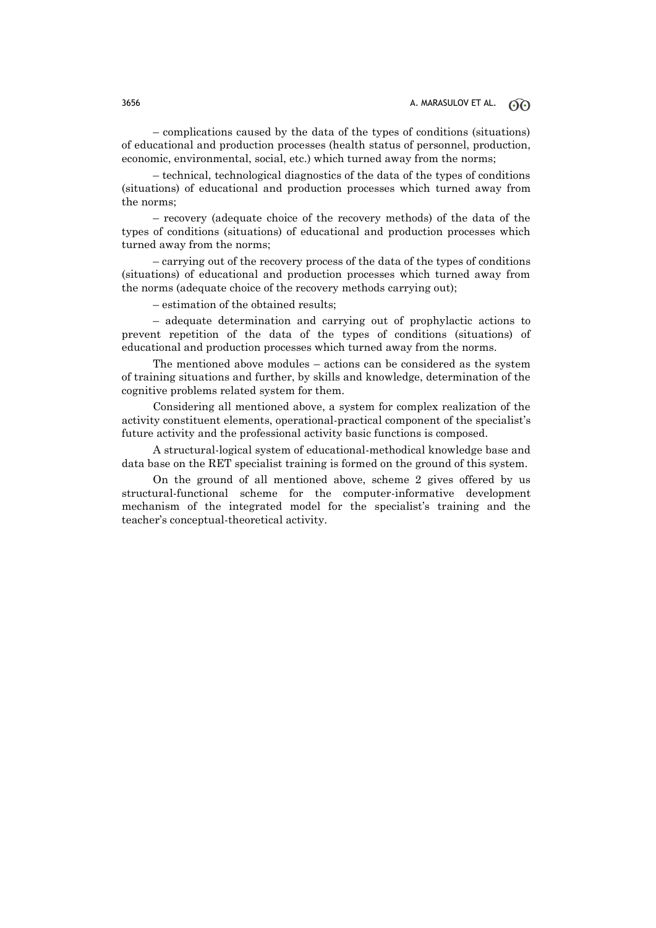– complications caused by the data of the types of conditions (situations) of educational and production processes (health status of personnel, production, economic, environmental, social, etc.) which turned away from the norms;

– technical, technological diagnostics of the data of the types of conditions (situations) of educational and production processes which turned away from the norms;

– recovery (adequate choice of the recovery methods) of the data of the types of conditions (situations) of educational and production processes which turned away from the norms;

– carrying out of the recovery process of the data of the types of conditions (situations) of educational and production processes which turned away from the norms (adequate choice of the recovery methods carrying out);

– estimation of the obtained results;

– adequate determination and carrying out of prophylactic actions to prevent repetition of the data of the types of conditions (situations) of educational and production processes which turned away from the norms.

The mentioned above modules – actions can be considered as the system of training situations and further, by skills and knowledge, determination of the cognitive problems related system for them.

Considering all mentioned above, a system for complex realization of the activity constituent elements, operational-practical component of the specialist's future activity and the professional activity basic functions is composed.

A structural-logical system of educational-methodical knowledge base and data base on the RET specialist training is formed on the ground of this system.

On the ground of all mentioned above, scheme 2 gives offered by us structural-functional scheme for the computer-informative development mechanism of the integrated model for the specialist's training and the teacher's conceptual-theoretical activity.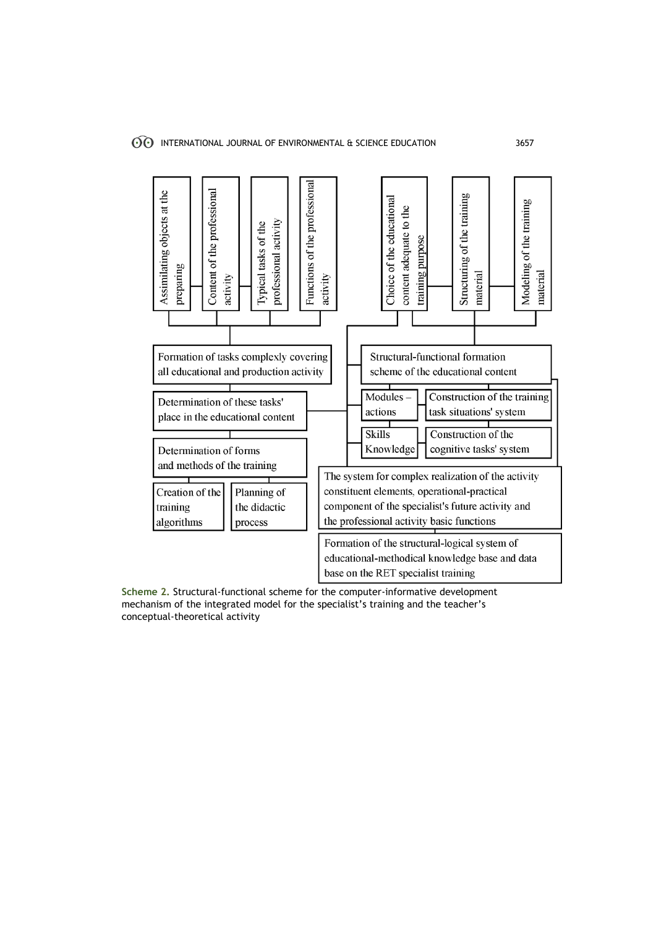

**Scheme 2.** Structural-functional scheme for the computer-informative development mechanism of the integrated model for the specialist's training and the teacher's conceptual-theoretical activity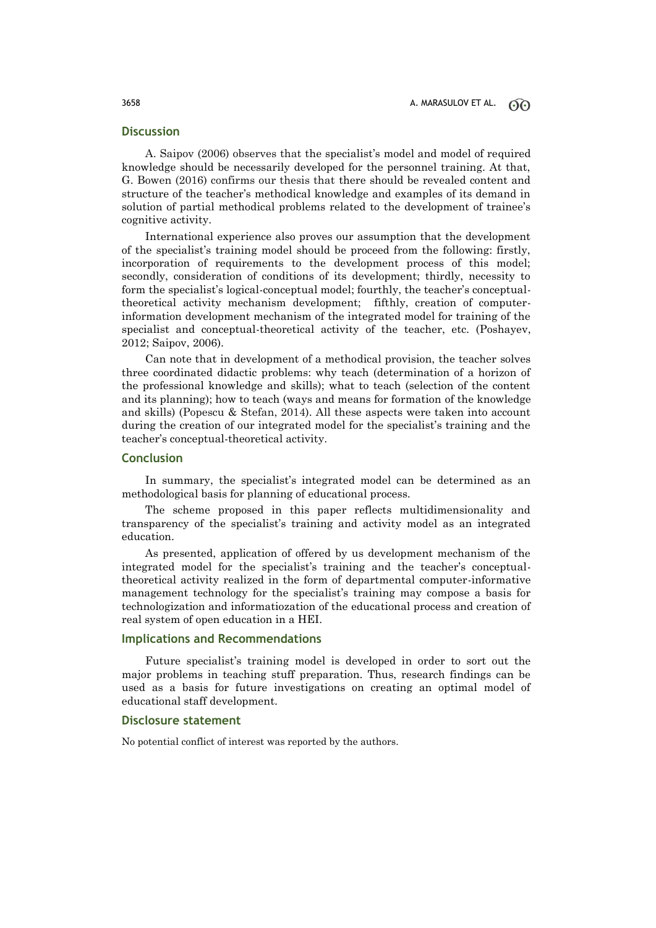# **Discussion**

A. Saipov (2006) observes that the specialist's model and model of required knowledge should be necessarily developed for the personnel training. At that, G. Bowen (2016) confirms our thesis that there should be revealed content and structure of the teacher's methodical knowledge and examples of its demand in solution of partial methodical problems related to the development of trainee's cognitive activity.

International experience also proves our assumption that the development of the specialist's training model should be proceed from the following: firstly, incorporation of requirements to the development process of this model; secondly, consideration of conditions of its development; thirdly, necessity to form the specialist's logical-conceptual model; fourthly, the teacher's conceptualtheoretical activity mechanism development; fifthly, creation of computerinformation development mechanism of the integrated model for training of the specialist and conceptual-theoretical activity of the teacher, etc. (Poshayev, 2012; Saipov, 2006).

Can note that in development of a methodical provision, the teacher solves three coordinated didactic problems: why teach (determination of a horizon of the professional knowledge and skills); what to teach (selection of the content and its planning); how to teach (ways and means for formation of the knowledge and skills) (Popescu & Stefan, 2014). All these aspects were taken into account during the creation of our integrated model for the specialist's training and the teacher's conceptual-theoretical activity.

## **Conclusion**

In summary, the specialist's integrated model can be determined as an methodological basis for planning of educational process.

The scheme proposed in this paper reflects multidimensionality and transparency of the specialist's training and activity model as an integrated education.

As presented, application of offered by us development mechanism of the integrated model for the specialist's training and the teacher's conceptualtheoretical activity realized in the form of departmental computer-informative management technology for the specialist's training may compose a basis for technologization and informatiozation of the educational process and creation of real system of open education in a HEI.

# **Implications and Recommendations**

Future specialist's training model is developed in order to sort out the major problems in teaching stuff preparation. Thus, research findings can be used as a basis for future investigations on creating an optimal model of educational staff development.

## **Disclosure statement**

No potential conflict of interest was reported by the authors.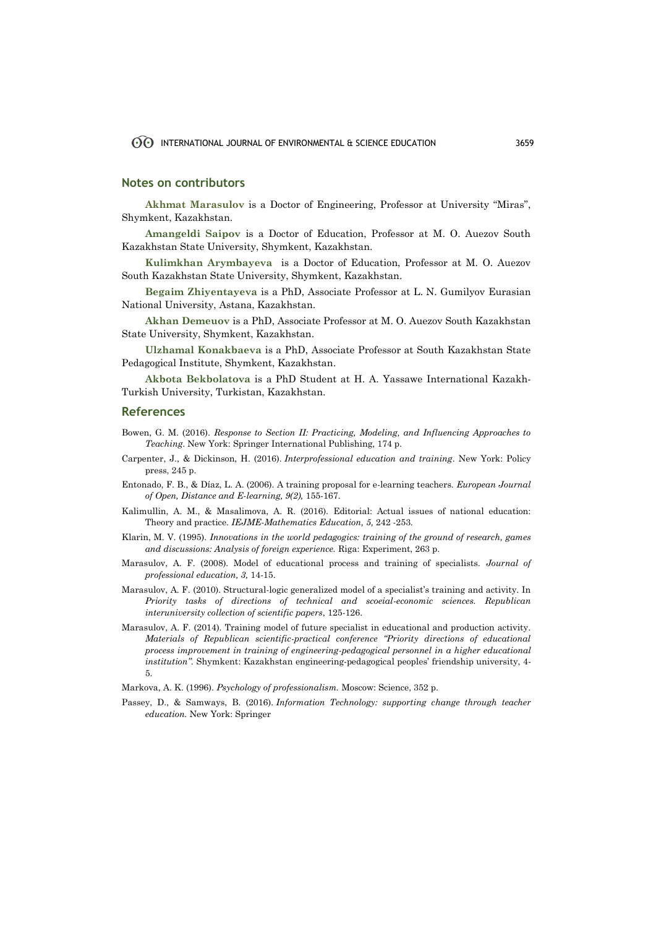#### **Notes on contributors**

**Akhmat Marasulov** is a Doctor of Engineering, Professor at University "Miras", Shymkent, Kazakhstan.

**Amangeldi Saipov** is a Doctor of Education, Professor at M. O. Auezov South Kazakhstan State University, Shymkent, Kazakhstan.

**Kulimkhan Аrymbayeva** is a Doctor of Education, Professor at M. O. Auezov South Kazakhstan State University, Shymkent, Kazakhstan.

**Begaim Zhiyentayeva** is a PhD, Associate Professor at L. N. Gumilyov Eurasian National University, Astana, Kazakhstan.

**Akhan Demeuov** is a PhD, Associate Professor at M. O. Auezov South Kazakhstan State University, Shymkent, Kazakhstan.

**Ulzhamal Konakbaeva** is a PhD, Associate Professor at South Kazakhstan State Pedagogical Institute, Shymkent, Kazakhstan.

**Akbota Bekbolatova** is a PhD Student at H. A. Yassawe International Kazakh-Turkish University, Turkistan, Kazakhstan.

#### **References**

- Bowen, G. M. (2016). *Response to Section II: Practicing, Modeling, and Influencing Approaches to Teaching*. New York: Springer International Publishing, 174 p.
- Carpenter, J., & Dickinson, H. (2016). *Interprofessional education and training*. New York: Policy press, 245 p.
- Entonado, F. B., & Díaz, L. A. (2006). A training proposal for e-learning teachers. *European Journal of Open, Distance and E-learning, 9(2),* 155-167.
- Kalimullin, A. M., & Masalimova, A. R. (2016). Editorial: Actual issues of national education: Theory and practice. *IEJME-Mathematics Education, 5,* 242 -253.
- Klarin, M. V. (1995). *Innovations in the world pedagogics: training of the ground of research, games and discussions: Analysis of foreign experience.* Riga: Experiment, 263 p.
- Marasulov, A. F. (2008). Model of educational process and training of specialists. *Journal of professional education, 3,* 14-15.
- Marasulov, A. F. (2010). Structural-logic generalized model of a specialist's training and activity. In *Priority tasks of directions of technical and scoeial-economic sciences. Republican interuniversity collection of scientific papers*, 125-126.
- Marasulov, A. F. (2014). Training model of future specialist in educational and production activity. *Materials of Republican scientific-practical conference "Priority directions of educational process improvement in training of engineering-pedagogical personnel in a higher educational institution".* Shymkent: Kazakhstan engineering-pedagogical peoples' friendship university, 4- 5.
- Markova, A. K. (1996). *Psychology of professionalism.* Moscow: Science, 352 p.
- Passey, D., & Samways, B. (2016). *Information Technology: supporting change through teacher education.* New York: Springer